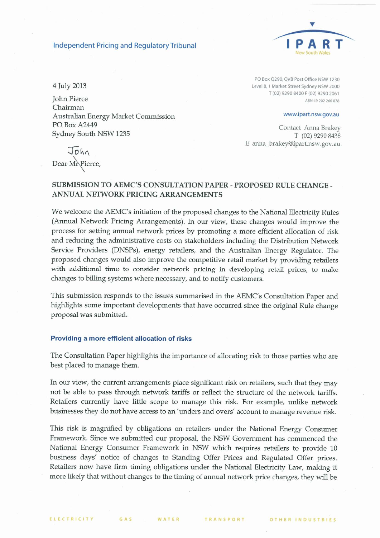#### **Independent Pricing and Regulatory Tribunal**



4 July 2013

**John Pierce** Chairman Australian Energy Market Commission PO Box A2449 Sydney South NSW 1235

PO Box Q290, QVB Post Office NSW 1230 Level 8, 1 Market Street Sydney NSW 2000 T (02) 9290 8400 F (02) 9290 2061 ABN 49 202 260 878

www.ipart.nsw.gov.au

Contact Anna Brakey T (02) 9290 8438 E anna\_brakey@ipart.nsw.gov.au

John Dear MrPierce,

### SUBMISSION TO AEMC'S CONSULTATION PAPER - PROPOSED RULE CHANGE -ANNUAL NETWORK PRICING ARRANGEMENTS

We welcome the AEMC's initiation of the proposed changes to the National Electricity Rules (Annual Network Pricing Arrangements). In our view, these changes would improve the process for setting annual network prices by promoting a more efficient allocation of risk and reducing the administrative costs on stakeholders including the Distribution Network Service Providers (DNSPs), energy retailers, and the Australian Energy Regulator. The proposed changes would also improve the competitive retail market by providing retailers with additional time to consider network pricing in developing retail prices, to make changes to billing systems where necessary, and to notify customers.

This submission responds to the issues summarised in the AEMC's Consultation Paper and highlights some important developments that have occurred since the original Rule change proposal was submitted.

#### Providing a more efficient allocation of risks

The Consultation Paper highlights the importance of allocating risk to those parties who are best placed to manage them.

In our view, the current arrangements place significant risk on retailers, such that they may not be able to pass through network tariffs or reflect the structure of the network tariffs. Retailers currently have little scope to manage this risk. For example, unlike network businesses they do not have access to an 'unders and overs' account to manage revenue risk.

This risk is magnified by obligations on retailers under the National Energy Consumer Framework. Since we submitted our proposal, the NSW Government has commenced the National Energy Consumer Framework in NSW which requires retailers to provide 10 business days' notice of changes to Standing Offer Prices and Regulated Offer prices. Retailers now have firm timing obligations under the National Electricity Law, making it more likely that without changes to the timing of annual network price changes, they will be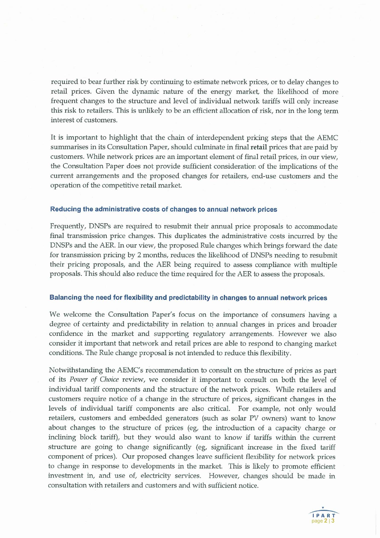required to bear further risk by continuing to estimate network prices, or to delay changes to retail prices. Given the dynamic nature of the energy market, the likelihood of more frequent changes to the structure and level of individual network tariffs will only increase this risk to retailers. This is unlikely to be an efficient allocation of risk, nor in the long term interest of customers.

It is important to highlight that the chain of interdependent pricing steps that the AEMC summarises in its Consultation Paper, should culminate in final retail prices that are paid by customers. While network prices are an important element of final retail prices, in our view, the Consultation Paper does not provide sufficient consideration of the implications of the current arrangements and the proposed changes for retailers, end-use customers and the operation of the competitive retail market.

#### Reducing the administrative costs of changes to annual network prices

Frequently, DNSPs are required to resubmit their annual price proposals to accommodate final transmission price changes. This duplicates the administrative costs incurred by the DNSPs and the AER. In our view, the proposed Rule changes which brings forward the date for transmission pricing by 2 months, reduces the likelihood of DNSPs needing to resubmit their pricing proposals, and the AER being required to assess compliance with multiple proposals. This should also reduce the time required for the AER to assess the proposals.

#### Balancing the need for flexibility and predictability in changes to annual network prices

We welcome the Consultation Paper's focus on the importance of consumers having a degree of certainty and predictability in relation to annual changes in prices and broader confidence in the market and supporting regulatory arrangements. However we also consider it important that network and retail prices are able to respond to changing market conditions. The Rule change proposal is not intended to reduce this flexibility.

Notwithstanding the AEMC's recommendation to consult on the structure of prices as part of its Power of Choice review, we consider it important to consult on both the level of individual tariff components and the structure of the network prices. While retailers and customers require notice of a change in the structure of prices, significant changes in the levels of individual tariff components are also critical. For example, not only would retailers, customers and embedded generators (such as solar PV owners) want to know about changes to the structure of prices (eg, the introduction of a capacity charge or inclining block tariff), but they would also want to know if tariffs within the current structure are going to change significantly (eg, significant increase in the fixed tariff component of prices). Our proposed changes leave sufficient flexibility for network prices to change in response to developments in the market. This is likely to promote efficient investment in, and use of, electricity services. However, changes should be made in consultation with retailers and customers and with sufficient notice.

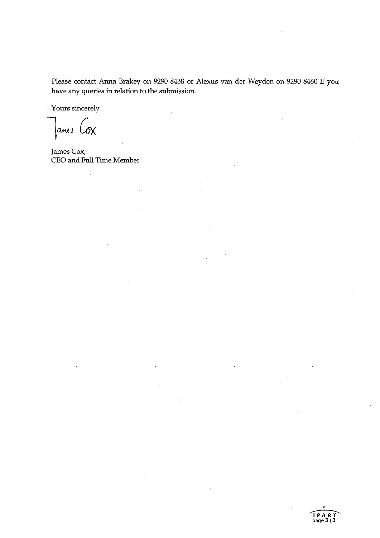Please contact Anna Brakey on 9290 8438 or Alexus van der Weyden on 9290 8460 if you have any queries in relation to the submission.

Yours sincerely

James Cox

James Cox, CEO and Full Time Member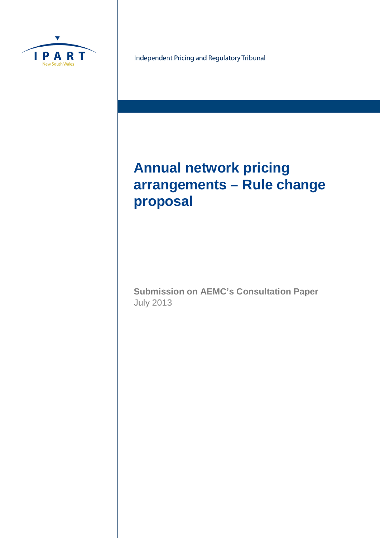

Independent Pricing and Regulatory Tribunal

# **Annual network pricing arrangements – Rule change proposal**

**Submission on AEMC's Consultation Paper** July 2013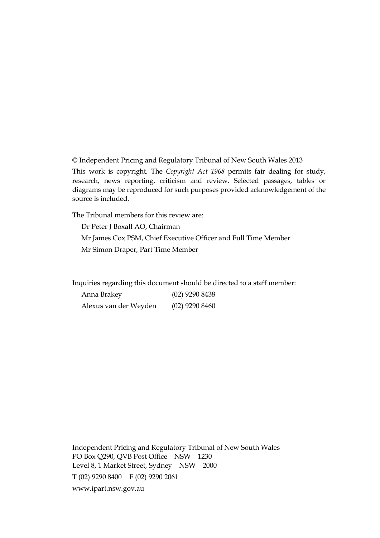© Independent Pricing and Regulatory Tribunal of New South Wales 2013

This work is copyright. The *Copyright Act 1968* permits fair dealing for study, research, news reporting, criticism and review. Selected passages, tables or diagrams may be reproduced for such purposes provided acknowledgement of the source is included.

The Tribunal members for this review are:

Dr Peter J Boxall AO, Chairman Mr James Cox PSM, Chief Executive Officer and Full Time Member Mr Simon Draper, Part Time Member

Inquiries regarding this document should be directed to a staff member:

| Anna Brakey           | $(02)$ 9290 8438 |
|-----------------------|------------------|
| Alexus van der Weyden | $(02)$ 9290 8460 |

Independent Pricing and Regulatory Tribunal of New South Wales PO Box Q290, QVB Post Office NSW 1230 Level 8, 1 Market Street, Sydney NSW 2000 T (02) 9290 8400 F (02) 9290 2061 [www.ipart.nsw.gov.au](http://www.ipart.nsw.gov.au/)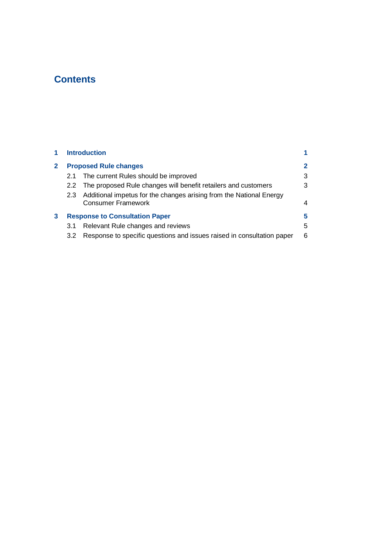# **Contents**

|   |     | <b>Introduction</b>                                                                              |              |
|---|-----|--------------------------------------------------------------------------------------------------|--------------|
|   |     | <b>Proposed Rule changes</b>                                                                     | $\mathbf{2}$ |
|   | 2.1 | The current Rules should be improved                                                             | 3            |
|   |     | 2.2 The proposed Rule changes will benefit retailers and customers                               | 3            |
|   | 2.3 | Additional impetus for the changes arising from the National Energy<br><b>Consumer Framework</b> | 4            |
| 3 |     | <b>Response to Consultation Paper</b>                                                            | 5            |
|   | 3.1 | Relevant Rule changes and reviews                                                                | 5            |
|   | 3.2 | Response to specific questions and issues raised in consultation paper                           | 6            |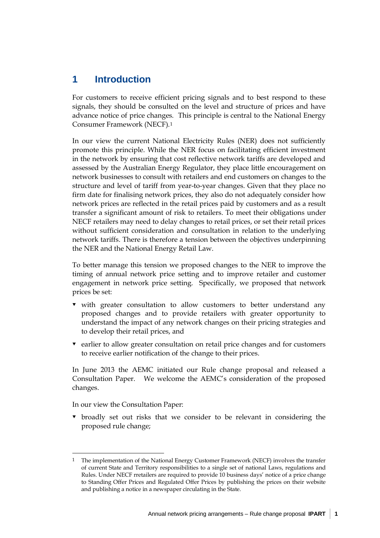# **1 Introduction**

For customers to receive efficient pricing signals and to best respond to these signals, they should be consulted on the level and structure of prices and have advance notice of price changes. This principle is central to the National Energy Consumer Framework (NECF).[1](#page-7-0)

In our view the current National Electricity Rules (NER) does not sufficiently promote this principle. While the NER focus on facilitating efficient investment in the network by ensuring that cost reflective network tariffs are developed and assessed by the Australian Energy Regulator, they place little encouragement on network businesses to consult with retailers and end customers on changes to the structure and level of tariff from year-to-year changes. Given that they place no firm date for finalising network prices, they also do not adequately consider how network prices are reflected in the retail prices paid by customers and as a result transfer a significant amount of risk to retailers. To meet their obligations under NECF retailers may need to delay changes to retail prices, or set their retail prices without sufficient consideration and consultation in relation to the underlying network tariffs. There is therefore a tension between the objectives underpinning the NER and the National Energy Retail Law.

To better manage this tension we proposed changes to the NER to improve the timing of annual network price setting and to improve retailer and customer engagement in network price setting. Specifically, we proposed that network prices be set:

- with greater consultation to allow customers to better understand any proposed changes and to provide retailers with greater opportunity to understand the impact of any network changes on their pricing strategies and to develop their retail prices, and
- $\bullet$  earlier to allow greater consultation on retail price changes and for customers to receive earlier notification of the change to their prices.

In June 2013 the AEMC initiated our Rule change proposal and released a Consultation Paper. We welcome the AEMC's consideration of the proposed changes.

In our view the Consultation Paper:

-

 broadly set out risks that we consider to be relevant in considering the proposed rule change;

<span id="page-7-0"></span><sup>1</sup> The implementation of the National Energy Customer Framework (NECF) involves the transfer of current State and Territory responsibilities to a single set of national Laws, regulations and Rules. Under NECF rretailers are required to provide 10 business days' notice of a price change to Standing Offer Prices and Regulated Offer Prices by publishing the prices on their website and publishing a notice in a newspaper circulating in the State.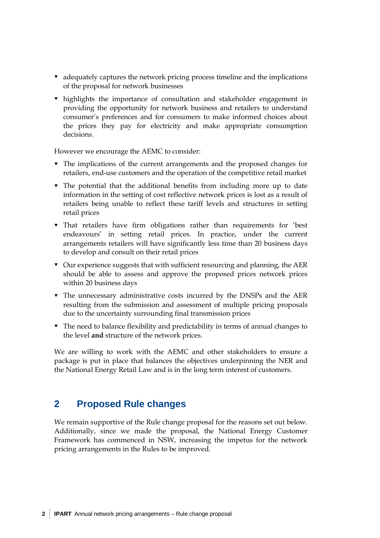- adequately captures the network pricing process timeline and the implications of the proposal for network businesses
- highlights the importance of consultation and stakeholder engagement in providing the opportunity for network business and retailers to understand consumer's preferences and for consumers to make informed choices about the prices they pay for electricity and make appropriate consumption decisions.

However we encourage the AEMC to consider:

- The implications of the current arrangements and the proposed changes for retailers, end-use customers and the operation of the competitive retail market
- The potential that the additional benefits from including more up to date information in the setting of cost reflective network prices is lost as a result of retailers being unable to reflect these tariff levels and structures in setting retail prices
- That retailers have firm obligations rather than requirements for 'best endeavours' in setting retail prices. In practice, under the current arrangements retailers will have significantly less time than 20 business days to develop and consult on their retail prices
- Our experience suggests that with sufficient resourcing and planning, the AER should be able to assess and approve the proposed prices network prices within 20 business days
- The unnecessary administrative costs incurred by the DNSPs and the AER resulting from the submission and assessment of multiple pricing proposals due to the uncertainty surrounding final transmission prices
- The need to balance flexibility and predictability in terms of annual changes to the level **and** structure of the network prices.

We are willing to work with the AEMC and other stakeholders to ensure a package is put in place that balances the objectives underpinning the NER and the National Energy Retail Law and is in the long term interest of customers.

# **2 Proposed Rule changes**

We remain supportive of the Rule change proposal for the reasons set out below. Additionally, since we made the proposal, the National Energy Customer Framework has commenced in NSW, increasing the impetus for the network pricing arrangements in the Rules to be improved.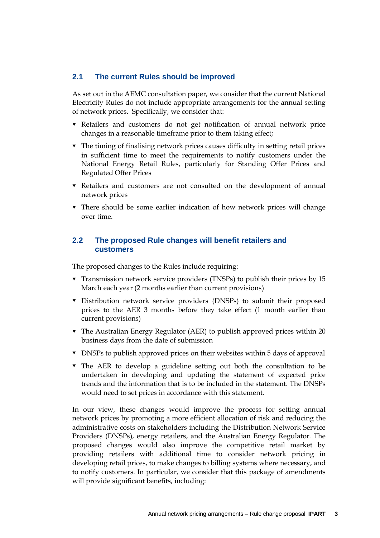## **2.1 The current Rules should be improved**

As set out in the AEMC consultation paper, we consider that the current National Electricity Rules do not include appropriate arrangements for the annual setting of network prices. Specifically, we consider that:

- Retailers and customers do not get notification of annual network price changes in a reasonable timeframe prior to them taking effect;
- The timing of finalising network prices causes difficulty in setting retail prices in sufficient time to meet the requirements to notify customers under the National Energy Retail Rules, particularly for Standing Offer Prices and Regulated Offer Prices
- Retailers and customers are not consulted on the development of annual network prices
- There should be some earlier indication of how network prices will change over time.

## **2.2 The proposed Rule changes will benefit retailers and customers**

The proposed changes to the Rules include requiring:

- Transmission network service providers (TNSPs) to publish their prices by 15 March each year (2 months earlier than current provisions)
- Distribution network service providers (DNSPs) to submit their proposed prices to the AER 3 months before they take effect (1 month earlier than current provisions)
- The Australian Energy Regulator (AER) to publish approved prices within 20 business days from the date of submission
- DNSPs to publish approved prices on their websites within 5 days of approval
- The AER to develop a guideline setting out both the consultation to be undertaken in developing and updating the statement of expected price trends and the information that is to be included in the statement. The DNSPs would need to set prices in accordance with this statement.

In our view, these changes would improve the process for setting annual network prices by promoting a more efficient allocation of risk and reducing the administrative costs on stakeholders including the Distribution Network Service Providers (DNSPs), energy retailers, and the Australian Energy Regulator. The proposed changes would also improve the competitive retail market by providing retailers with additional time to consider network pricing in developing retail prices, to make changes to billing systems where necessary, and to notify customers. In particular, we consider that this package of amendments will provide significant benefits, including: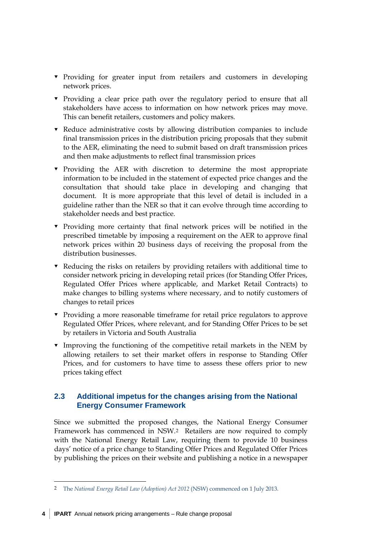- Providing for greater input from retailers and customers in developing network prices.
- Providing a clear price path over the regulatory period to ensure that all stakeholders have access to information on how network prices may move. This can benefit retailers, customers and policy makers.
- Reduce administrative costs by allowing distribution companies to include final transmission prices in the distribution pricing proposals that they submit to the AER, eliminating the need to submit based on draft transmission prices and then make adjustments to reflect final transmission prices
- $\blacktriangledown$  Providing the AER with discretion to determine the most appropriate information to be included in the statement of expected price changes and the consultation that should take place in developing and changing that document. It is more appropriate that this level of detail is included in a guideline rather than the NER so that it can evolve through time according to stakeholder needs and best practice.
- Providing more certainty that final network prices will be notified in the prescribed timetable by imposing a requirement on the AER to approve final network prices within 20 business days of receiving the proposal from the distribution businesses.
- Reducing the risks on retailers by providing retailers with additional time to consider network pricing in developing retail prices (for Standing Offer Prices, Regulated Offer Prices where applicable, and Market Retail Contracts) to make changes to billing systems where necessary, and to notify customers of changes to retail prices
- Providing a more reasonable timeframe for retail price regulators to approve Regulated Offer Prices, where relevant, and for Standing Offer Prices to be set by retailers in Victoria and South Australia
- Improving the functioning of the competitive retail markets in the NEM by allowing retailers to set their market offers in response to Standing Offer Prices, and for customers to have time to assess these offers prior to new prices taking effect

# **2.3 Additional impetus for the changes arising from the National Energy Consumer Framework**

Since we submitted the proposed changes, the National Energy Consumer Framework has commenced in NSW.[2](#page-10-0) Retailers are now required to comply with the National Energy Retail Law, requiring them to provide 10 business days' notice of a price change to Standing Offer Prices and Regulated Offer Prices by publishing the prices on their website and publishing a notice in a newspaper

 $\ddot{\phantom{a}}$ 

<span id="page-10-0"></span><sup>2</sup> The *National Energy Retail Law (Adoption) Act 2012* (NSW) commenced on 1 July 2013.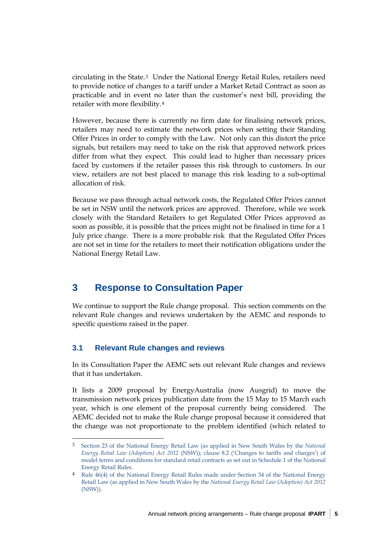circulating in the State.[3](#page-11-0) Under the National Energy Retail Rules, retailers need to provide notice of changes to a tariff under a Market Retail Contract as soon as practicable and in event no later than the customer's next bill, providing the retailer with more flexibility.[4](#page-11-1)

However, because there is currently no firm date for finalising network prices, retailers may need to estimate the network prices when setting their Standing Offer Prices in order to comply with the Law. Not only can this distort the price signals, but retailers may need to take on the risk that approved network prices differ from what they expect. This could lead to higher than necessary prices faced by customers if the retailer passes this risk through to customers. In our view, retailers are not best placed to manage this risk leading to a sub-optimal allocation of risk.

Because we pass through actual network costs, the Regulated Offer Prices cannot be set in NSW until the network prices are approved. Therefore, while we work closely with the Standard Retailers to get Regulated Offer Prices approved as soon as possible, it is possible that the prices might not be finalised in time for a 1 July price change. There is a more probable risk that the Regulated Offer Prices are not set in time for the retailers to meet their notification obligations under the National Energy Retail Law.

# **3 Response to Consultation Paper**

We continue to support the Rule change proposal. This section comments on the relevant Rule changes and reviews undertaken by the AEMC and responds to specific questions raised in the paper.

## **3.1 Relevant Rule changes and reviews**

<u>.</u>

In its Consultation Paper the AEMC sets out relevant Rule changes and reviews that it has undertaken.

It lists a 2009 proposal by EnergyAustralia (now Ausgrid) to move the transmission network prices publication date from the 15 May to 15 March each year, which is one element of the proposal currently being considered. The AEMC decided not to make the Rule change proposal because it considered that the change was not proportionate to the problem identified (which related to

<span id="page-11-0"></span><sup>3</sup> Section 23 of the National Energy Retail Law (as applied in New South Wales by the *National Energy Retail Law (Adoption) Act 2012* (NSW)); clause 8.2 ('Changes to tariffs and charges') of model terms and conditions for standard retail contracts as set out in Schedule 1 of the National Energy Retail Rules.

<span id="page-11-1"></span><sup>4</sup> Rule 46(4) of the National Energy Retail Rules made under Section 34 of the National Energy Retail Law (as applied in New South Wales by the *National Energy Retail Law (Adoption) Act 2012*  (NSW)).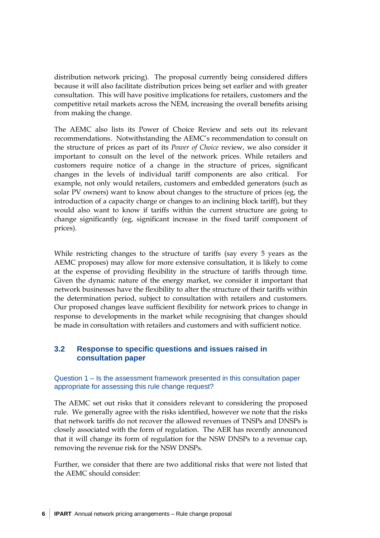distribution network pricing). The proposal currently being considered differs because it will also facilitate distribution prices being set earlier and with greater consultation. This will have positive implications for retailers, customers and the competitive retail markets across the NEM, increasing the overall benefits arising from making the change.

The AEMC also lists its Power of Choice Review and sets out its relevant recommendations. Notwithstanding the AEMC's recommendation to consult on the structure of prices as part of its *Power of Choice* review, we also consider it important to consult on the level of the network prices. While retailers and customers require notice of a change in the structure of prices, significant changes in the levels of individual tariff components are also critical. For example, not only would retailers, customers and embedded generators (such as solar PV owners) want to know about changes to the structure of prices (eg, the introduction of a capacity charge or changes to an inclining block tariff), but they would also want to know if tariffs within the current structure are going to change significantly (eg, significant increase in the fixed tariff component of prices).

While restricting changes to the structure of tariffs (say every 5 years as the AEMC proposes) may allow for more extensive consultation, it is likely to come at the expense of providing flexibility in the structure of tariffs through time. Given the dynamic nature of the energy market, we consider it important that network businesses have the flexibility to alter the structure of their tariffs within the determination period, subject to consultation with retailers and customers. Our proposed changes leave sufficient flexibility for network prices to change in response to developments in the market while recognising that changes should be made in consultation with retailers and customers and with sufficient notice.

## **3.2 Response to specific questions and issues raised in consultation paper**

### Question 1 – Is the assessment framework presented in this consultation paper appropriate for assessing this rule change request?

The AEMC set out risks that it considers relevant to considering the proposed rule. We generally agree with the risks identified, however we note that the risks that network tariffs do not recover the allowed revenues of TNSPs and DNSPs is closely associated with the form of regulation. The AER has recently announced that it will change its form of regulation for the NSW DNSPs to a revenue cap, removing the revenue risk for the NSW DNSPs.

Further, we consider that there are two additional risks that were not listed that the AEMC should consider: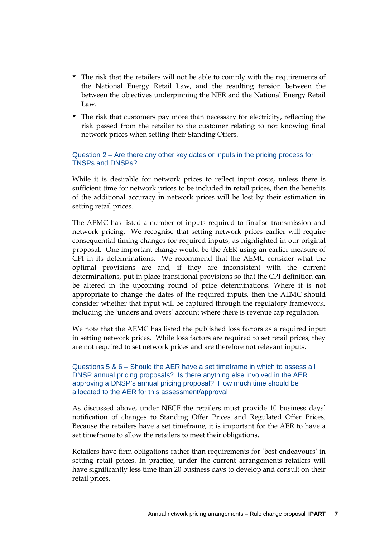- $\blacksquare$  The risk that the retailers will not be able to comply with the requirements of the National Energy Retail Law, and the resulting tension between the between the objectives underpinning the NER and the National Energy Retail Law.
- The risk that customers pay more than necessary for electricity, reflecting the risk passed from the retailer to the customer relating to not knowing final network prices when setting their Standing Offers.

#### Question 2 – Are there any other key dates or inputs in the pricing process for TNSPs and DNSPs?

While it is desirable for network prices to reflect input costs, unless there is sufficient time for network prices to be included in retail prices, then the benefits of the additional accuracy in network prices will be lost by their estimation in setting retail prices.

The AEMC has listed a number of inputs required to finalise transmission and network pricing. We recognise that setting network prices earlier will require consequential timing changes for required inputs, as highlighted in our original proposal. One important change would be the AER using an earlier measure of CPI in its determinations. We recommend that the AEMC consider what the optimal provisions are and, if they are inconsistent with the current determinations, put in place transitional provisions so that the CPI definition can be altered in the upcoming round of price determinations. Where it is not appropriate to change the dates of the required inputs, then the AEMC should consider whether that input will be captured through the regulatory framework, including the 'unders and overs' account where there is revenue cap regulation.

We note that the AEMC has listed the published loss factors as a required input in setting network prices. While loss factors are required to set retail prices, they are not required to set network prices and are therefore not relevant inputs.

Questions 5 & 6 – Should the AER have a set timeframe in which to assess all DNSP annual pricing proposals? Is there anything else involved in the AER approving a DNSP's annual pricing proposal? How much time should be allocated to the AER for this assessment/approval

As discussed above, under NECF the retailers must provide 10 business days' notification of changes to Standing Offer Prices and Regulated Offer Prices. Because the retailers have a set timeframe, it is important for the AER to have a set timeframe to allow the retailers to meet their obligations.

Retailers have firm obligations rather than requirements for 'best endeavours' in setting retail prices. In practice, under the current arrangements retailers will have significantly less time than 20 business days to develop and consult on their retail prices.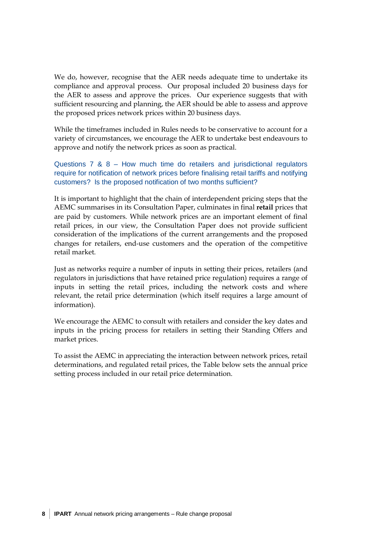We do, however, recognise that the AER needs adequate time to undertake its compliance and approval process. Our proposal included 20 business days for the AER to assess and approve the prices. Our experience suggests that with sufficient resourcing and planning, the AER should be able to assess and approve the proposed prices network prices within 20 business days.

While the timeframes included in Rules needs to be conservative to account for a variety of circumstances, we encourage the AER to undertake best endeavours to approve and notify the network prices as soon as practical.

Questions 7 & 8 – How much time do retailers and jurisdictional regulators require for notification of network prices before finalising retail tariffs and notifying customers? Is the proposed notification of two months sufficient?

It is important to highlight that the chain of interdependent pricing steps that the AEMC summarises in its Consultation Paper, culminates in final **retail** prices that are paid by customers. While network prices are an important element of final retail prices, in our view, the Consultation Paper does not provide sufficient consideration of the implications of the current arrangements and the proposed changes for retailers, end-use customers and the operation of the competitive retail market.

Just as networks require a number of inputs in setting their prices, retailers (and regulators in jurisdictions that have retained price regulation) requires a range of inputs in setting the retail prices, including the network costs and where relevant, the retail price determination (which itself requires a large amount of information).

We encourage the AEMC to consult with retailers and consider the key dates and inputs in the pricing process for retailers in setting their Standing Offers and market prices.

To assist the AEMC in appreciating the interaction between network prices, retail determinations, and regulated retail prices, the Table below sets the annual price setting process included in our retail price determination.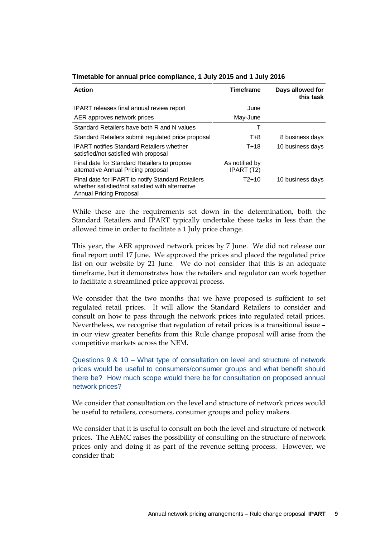| <b>Action</b>                                                                                                                           | <b>Timeframe</b>             | Days allowed for<br>this task |
|-----------------------------------------------------------------------------------------------------------------------------------------|------------------------------|-------------------------------|
| <b>IPART</b> releases final annual review report                                                                                        | June                         |                               |
| AER approves network prices                                                                                                             | May-June                     |                               |
| Standard Retailers have both R and N values                                                                                             |                              |                               |
| Standard Retailers submit regulated price proposal                                                                                      | T+8                          | 8 business days               |
| <b>IPART</b> notifies Standard Retailers whether<br>satisfied/not satisfied with proposal                                               | $T + 18$                     | 10 business days              |
| Final date for Standard Retailers to propose<br>alternative Annual Pricing proposal                                                     | As notified by<br>IPART (T2) |                               |
| Final date for IPART to notify Standard Retailers<br>whether satisfied/not satisfied with alternative<br><b>Annual Pricing Proposal</b> | $T2+10$                      | 10 business days              |

#### **Timetable for annual price compliance, 1 July 2015 and 1 July 2016**

While these are the requirements set down in the determination, both the Standard Retailers and IPART typically undertake these tasks in less than the allowed time in order to facilitate a 1 July price change.

This year, the AER approved network prices by 7 June. We did not release our final report until 17 June. We approved the prices and placed the regulated price list on our website by 21 June. We do not consider that this is an adequate timeframe, but it demonstrates how the retailers and regulator can work together to facilitate a streamlined price approval process.

We consider that the two months that we have proposed is sufficient to set regulated retail prices. It will allow the Standard Retailers to consider and consult on how to pass through the network prices into regulated retail prices. Nevertheless, we recognise that regulation of retail prices is a transitional issue – in our view greater benefits from this Rule change proposal will arise from the competitive markets across the NEM.

Questions 9 & 10 – What type of consultation on level and structure of network prices would be useful to consumers/consumer groups and what benefit should there be? How much scope would there be for consultation on proposed annual network prices?

We consider that consultation on the level and structure of network prices would be useful to retailers, consumers, consumer groups and policy makers.

We consider that it is useful to consult on both the level and structure of network prices. The AEMC raises the possibility of consulting on the structure of network prices only and doing it as part of the revenue setting process. However, we consider that: